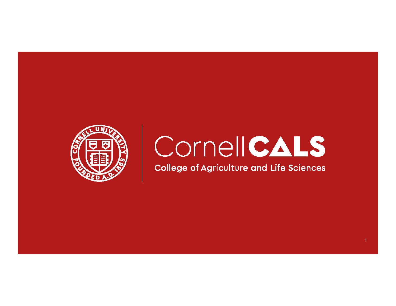

# CornellCALS

**College of Agriculture and Life Sciences**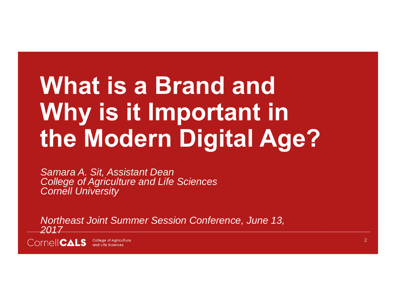# **What is a Brand and Why is it Important in the Modern Digital Age?**

*Samara A. Sit, Assistant Dean College of Agriculture and Life Sciences Cornell University*

*Northeast Joint Summer Session Conference, June 13, 2017*

COMPE CALS College of Agriculture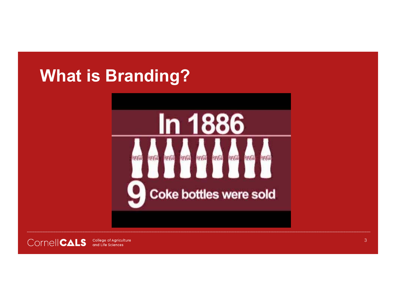# **What is Branding?**





 $3<sup>7</sup>$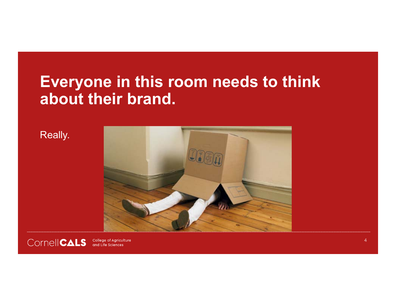### **Everyone in this room needs to think about their brand.**





 $\overline{A}$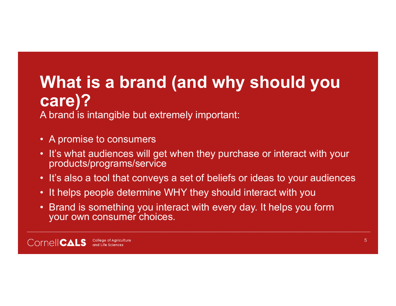# **What is a brand (and why should you care)?**

A brand is intangible but extremely important:

- A promise to consumers
- It's what audiences will get when they purchase or interact with your products/programs/service
- It's also a tool that conveys a set of beliefs or ideas to your audiences
- It helps people determine WHY they should interact with you
- Brand is something you interact with every day. It helps you form your own consumer choices.

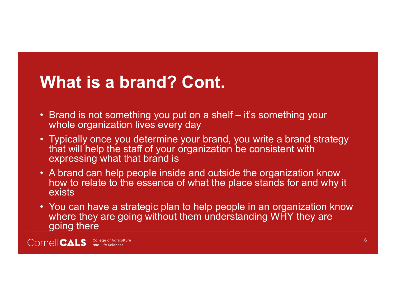# **What is a brand? Cont.**

- Brand is not something you put on a shelf it's something your whole organization lives every day
- Typically once you determine your brand, you write a brand strategy that will help the staff of your organization be consistent with expressing what that brand is
- A brand can help people inside and outside the organization know how to relate to the essence of what the place stands for and why it exists
- You can have a strategic plan to help people in an organization know where they are going without them understanding WHY they are going there

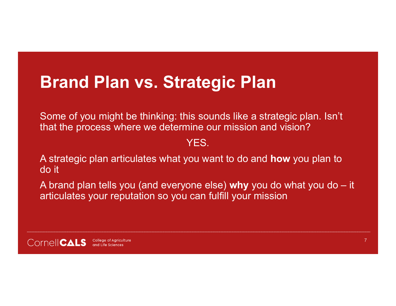# **Brand Plan vs. Strategic Plan**

Some of you might be thinking: this sounds like a strategic plan. Isn't that the process where we determine our mission and vision?

#### YES.

A strategic plan articulates what you want to do and **how** you plan to do it

A brand plan tells you (and everyone else) **why** you do what you do – it articulates your reputation so you can fulfill your mission

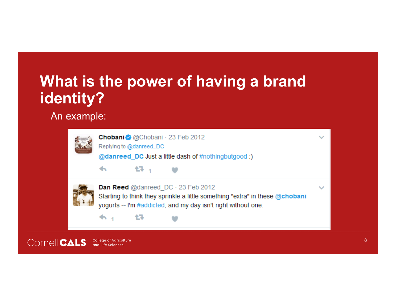### **What is the power of having a brand identity?**

#### An example:



Chobani @ @Chobani · 23 Feb 2012 Replying to @danreed\_DC @danreed DC Just a little dash of #nothingbutgood :) 17. Dan Reed @danreed DC · 23 Feb 2012 Starting to think they sprinkle a little something "extra" in these @chobani yogurts -- I'm #addicted, and my day isn't right without one. 偶  $\clubsuit$ 

**CornelICALS** College of Agriculture<br>and Life Sciences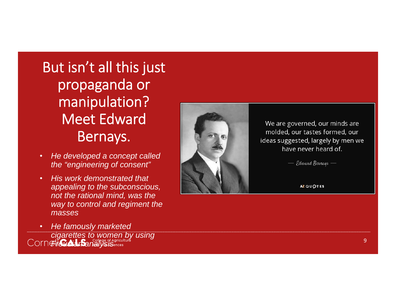### But isn't all this just propaganda or manipulation? Meet Edward Bernays.

- • *He developed a concept called the "engineering of consent"*
- • *His work demonstrated that appealing to the subconscious, not the rational mind, was the way to control and regiment the masses*





We are governed, our minds are molded, our tastes formed, our ideas suggested, largely by men we have never heard of.

 $-$  Edward Bernays  $-$ 

**AZ QUOTES**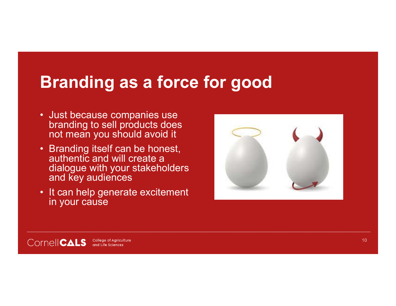## **Branding as a force for good**

- Just because companies use branding to sell products does not mean you should avoid it
- Branding itself can be honest, authentic and will create a dialogue with your stakeholders and key audiences
- It can help generate excitement in your cause



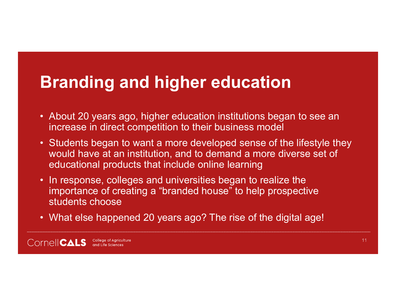# **Branding and higher education**

- About 20 years ago, higher education institutions began to see an increase in direct competition to their business model
- Students began to want a more developed sense of the lifestyle they would have at an institution, and to demand a more diverse set of educational products that include online learning
- In response, colleges and universities began to realize the importance of creating a "branded house" to help prospective students choose
- What else happened 20 years ago? The rise of the digital age!

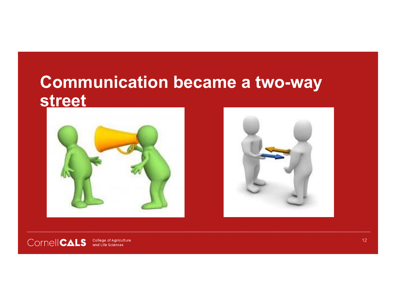### **Communication became a two-way street**







College of Agriculture<br>and Life Sciences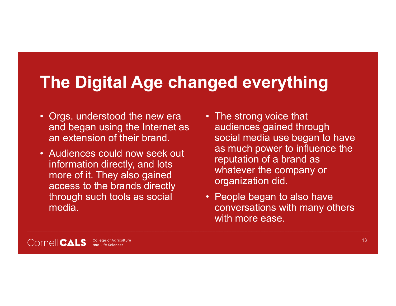# **The Digital Age changed everything**

- Orgs. understood the new era and began using the Internet as an extension of their brand.
- Audiences could now seek out information directly, and lots more of it. They also gained access to the brands directly through such tools as social media.
- The strong voice that audiences gained through social media use began to have as much power to influence the reputation of a brand as whatever the company or organization did.
- People began to also have conversations with many others with more ease.

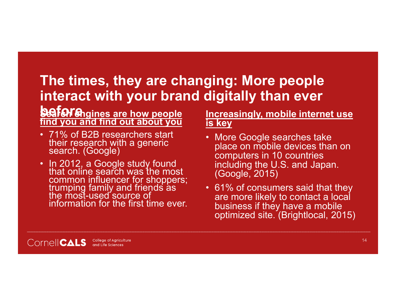#### **The times, they are changing: More people interact with your brand digitally than ever**

#### **beforeSearch engines are how people find you and find out about you**

- 71% of B2B researchers start their research with a generic search. (Google)
- In 2012, a Google study found that online search was the most common influencer for shoppers; trumping family and friends as the most-used source of information for the first time ever.

#### **Increasingly, mobile internet use is key**

- More Google searches take place on mobile devices than on computers in 10 countries including the U.S. and Japan. (Google, 2015)
- 61% of consumers said that they are more likely to contact a local business if they have a mobile optimized site. (Brightlocal, 2015)

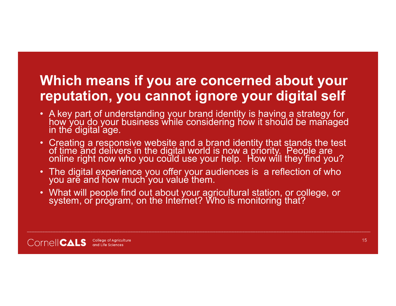#### **Which means if you are concerned about your reputation, you cannot ignore your digital self**

- A key part of understanding your brand identity is having a strategy for how you do your business while considering how it should be managed in the digital age.
- Creating a responsive website and a brand identity that stands the test<br>of time and delivers in the digital world is now a priority. People are<br>online right now who you could use your help. How will they find you?
- The digital experience you offer your audiences is a reflection of who you are and how much you value them.
- What will people find out about your agricultural station, or college, or<br>system, or program, on the Internet? Who is monitoring that?

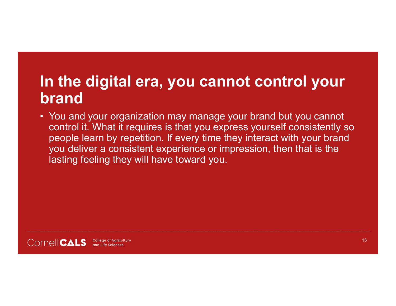### **In the digital era, you cannot control your brand**

• You and your organization may manage your brand but you cannot control it. What it requires is that you express yourself consistently so people learn by repetition. If every time they interact with your brand you deliver a consistent experience or impression, then that is the lasting feeling they will have toward you.

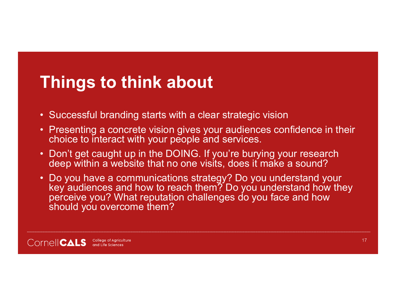# **Things to think about**

- Successful branding starts with a clear strategic vision
- Presenting a concrete vision gives your audiences confidence in their choice to interact with your people and services.
- Don't get caught up in the DOING. If you're burying your research deep within a website that no one visits, does it make a sound?
- Do you have a communications strategy? Do you understand your key audiences and how to reach them? Do you understand how they perceive you? What reputation challenges do you face and how should you overcome them?

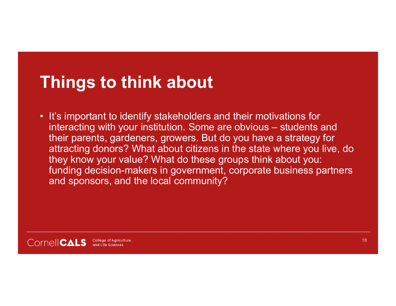# **Things to think about**

• It's important to identify stakeholders and their motivations for interacting with your institution. Some are obvious – students and their parents, gardeners, growers. But do you have a strategy for attracting donors? What about citizens in the state where you live, do they know your value? What do these groups think about you: funding decision-makers in government, corporate business partners and sponsors, and the local community?

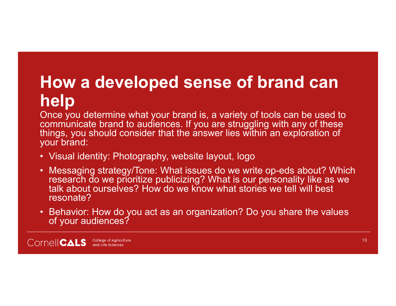# **How a developed sense of brand can help**

Once you determine what your brand is, a variety of tools can be used to communicate brand to audiences. If you are struggling with any of these things, you should consider that the answer lies within an exploration of your brand:

- Visual identity: Photography, website layout, logo
- Messaging strategy/Tone: What issues do we write op-eds about? Which research do we prioritize publicizing? What is our personality like as we talk about ourselves? How do we know what stories we tell will best resonate?
- Behavior: How do you act as an organization? Do you share the values of your audiences?

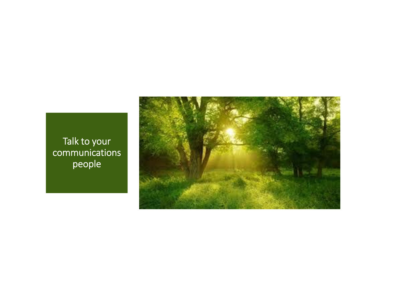Talk to your communications people